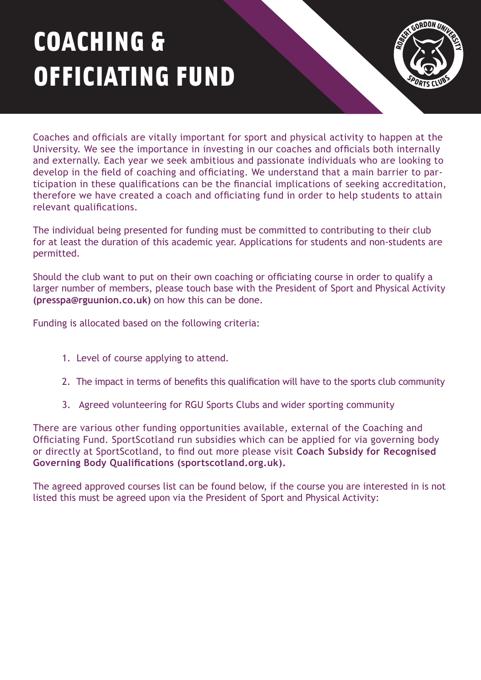## COACHING & OFFICIATING FUND



Coaches and officials are vitally important for sport and physical activity to happen at the University. We see the importance in investing in our coaches and officials both internally and externally. Each year we seek ambitious and passionate individuals who are looking to develop in the field of coaching and officiating. We understand that a main barrier to participation in these qualifications can be the financial implications of seeking accreditation, therefore we have created a coach and officiating fund in order to help students to attain relevant qualifications.

The individual being presented for funding must be committed to contributing to their club for at least the duration of this academic year. Applications for students and non-students are permitted.

Should the club want to put on their own coaching or officiating course in order to qualify a larger number of members, please touch base with the President of Sport and Physical Activity **(presspa@rguunion.co.uk)** on how this can be done.

Funding is allocated based on the following criteria:

- 1. Level of course applying to attend.
- 2. The impact in terms of benefits this qualification will have to the sports club community
- 3. Agreed volunteering for RGU Sports Clubs and wider sporting community

There are various other funding opportunities available, external of the Coaching and Officiating Fund. SportScotland run subsidies which can be applied for via governing body [or directly at SportScotland, to find out more please visit](https://sportscotland.org.uk/funding/coach-subsidy-for-recognised-governing-body-qualifications/) **Coach Subsidy for Recognised Governing Body Qualifications (sportscotland.org.uk).**

The agreed approved courses list can be found below, if the course you are interested in is not listed this must be agreed upon via the President of Sport and Physical Activity: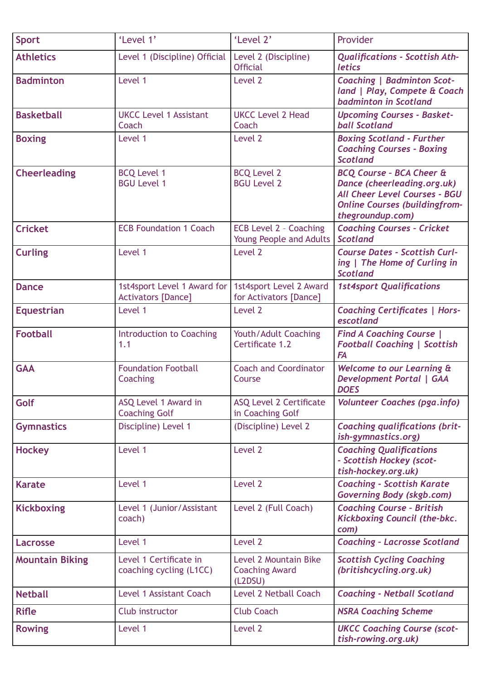| <b>Sport</b>           | 'Level 1'                                                | 'Level 2'                                                 | Provider                                                                                                                                                               |
|------------------------|----------------------------------------------------------|-----------------------------------------------------------|------------------------------------------------------------------------------------------------------------------------------------------------------------------------|
| <b>Athletics</b>       | Level 1 (Discipline) Official                            | Level 2 (Discipline)<br><b>Official</b>                   | <b>Qualifications - Scottish Ath-</b><br>letics                                                                                                                        |
| <b>Badminton</b>       | Level 1                                                  | Level 2                                                   | <b>Coaching   Badminton Scot-</b><br>land   Play, Compete & Coach<br><b>badminton in Scotland</b>                                                                      |
| <b>Basketball</b>      | <b>UKCC Level 1 Assistant</b><br>Coach                   | <b>UKCC Level 2 Head</b><br>Coach                         | <b>Upcoming Courses - Basket-</b><br><b>ball Scotland</b>                                                                                                              |
| <b>Boxing</b>          | Level 1                                                  | Level 2                                                   | <b>Boxing Scotland - Further</b><br><b>Coaching Courses - Boxing</b><br><b>Scotland</b>                                                                                |
| <b>Cheerleading</b>    | <b>BCQ Level 1</b><br><b>BGU Level 1</b>                 | <b>BCQ Level 2</b><br><b>BGU Level 2</b>                  | <b>BCQ Course - BCA Cheer &amp;</b><br>Dance (cheerleading.org.uk)<br><b>All Cheer Level Courses - BGU</b><br><b>Online Courses (buildingfrom-</b><br>thegroundup.com) |
| <b>Cricket</b>         | <b>ECB Foundation 1 Coach</b>                            | <b>ECB Level 2 - Coaching</b><br>Young People and Adults  | <b>Coaching Courses - Cricket</b><br><b>Scotland</b>                                                                                                                   |
| <b>Curling</b>         | Level 1                                                  | Level 2                                                   | <b>Course Dates - Scottish Curl-</b><br>ing   The Home of Curling in<br><b>Scotland</b>                                                                                |
| <b>Dance</b>           | 1st4sport Level 1 Award for<br><b>Activators [Dance]</b> | 1st4sport Level 2 Award<br>for Activators [Dance]         | <b>1st4sport Qualifications</b>                                                                                                                                        |
| <b>Equestrian</b>      | Level 1                                                  | Level 2                                                   | <b>Coaching Certificates   Hors-</b><br>escotland                                                                                                                      |
| <b>Football</b>        | <b>Introduction to Coaching</b><br>1.1                   | Youth/Adult Coaching<br>Certificate 1.2                   | <b>Find A Coaching Course</b>  <br><b>Football Coaching   Scottish</b><br><b>FA</b>                                                                                    |
| <b>GAA</b>             | <b>Foundation Football</b><br>Coaching                   | <b>Coach and Coordinator</b><br>Course                    | Welcome to our Learning &<br><b>Development Portal   GAA</b><br><b>DOES</b>                                                                                            |
| Golf                   | ASQ Level 1 Award in<br><b>Coaching Golf</b>             | <b>ASQ Level 2 Certificate</b><br>in Coaching Golf        | <b>Volunteer Coaches (pga.info)</b>                                                                                                                                    |
| <b>Gymnastics</b>      | Discipline) Level 1                                      | (Discipline) Level 2                                      | <b>Coaching qualifications (brit-</b><br>ish-gymnastics.org)                                                                                                           |
| <b>Hockey</b>          | Level 1                                                  | Level 2                                                   | <b>Coaching Qualifications</b><br>- Scottish Hockey (scot-<br>tish-hockey.org.uk)                                                                                      |
| <b>Karate</b>          | Level 1                                                  | Level 2                                                   | <b>Coaching - Scottish Karate</b><br><b>Governing Body (skgb.com)</b>                                                                                                  |
| <b>Kickboxing</b>      | Level 1 (Junior/Assistant<br>coach)                      | Level 2 (Full Coach)                                      | <b>Coaching Course - British</b><br><b>Kickboxing Council (the-bkc.</b><br>com)                                                                                        |
| <b>Lacrosse</b>        | Level 1                                                  | Level 2                                                   | <b>Coaching - Lacrosse Scotland</b>                                                                                                                                    |
| <b>Mountain Biking</b> | Level 1 Certificate in<br>coaching cycling (L1CC)        | Level 2 Mountain Bike<br><b>Coaching Award</b><br>(L2DSU) | <b>Scottish Cycling Coaching</b><br>(britishcycling.org.uk)                                                                                                            |
| <b>Netball</b>         | Level 1 Assistant Coach                                  | <b>Level 2 Netball Coach</b>                              | <b>Coaching - Netball Scotland</b>                                                                                                                                     |
| <b>Rifle</b>           | Club instructor                                          | <b>Club Coach</b>                                         | <b>NSRA Coaching Scheme</b>                                                                                                                                            |
| <b>Rowing</b>          | Level 1                                                  | Level 2                                                   | <b>UKCC Coaching Course (scot-</b><br>tish-rowing.org.uk)                                                                                                              |